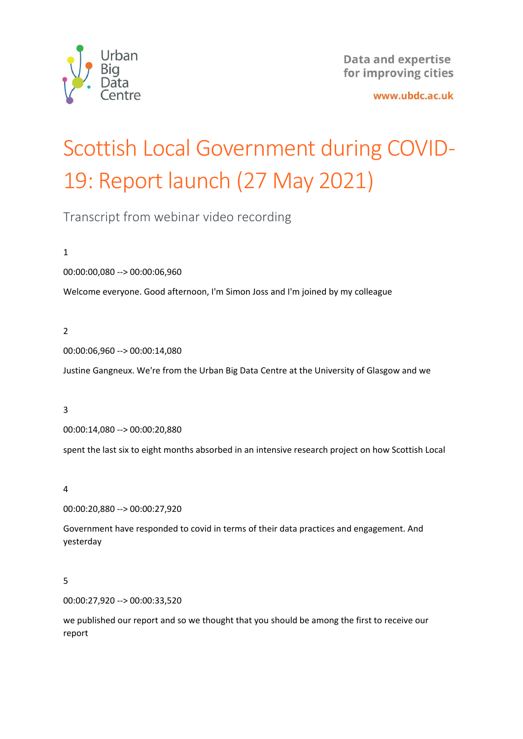

www.ubdc.ac.uk

# Scottish Local Government during COVID-19: Report launch (27 May 2021)

Transcript from webinar video recording

1

00:00:00,080 --> 00:00:06,960

Welcome everyone. Good afternoon, I'm Simon Joss and I'm joined by my colleague

# 2

00:00:06,960 --> 00:00:14,080

Justine Gangneux. We're from the Urban Big Data Centre at the University of Glasgow and we

# 3

00:00:14,080 --> 00:00:20,880

spent the last six to eight months absorbed in an intensive research project on how Scottish Local

# 4

00:00:20,880 --> 00:00:27,920

Government have responded to covid in terms of their data practices and engagement. And yesterday

# 5

00:00:27,920 --> 00:00:33,520

we published our report and so we thought that you should be among the first to receive our report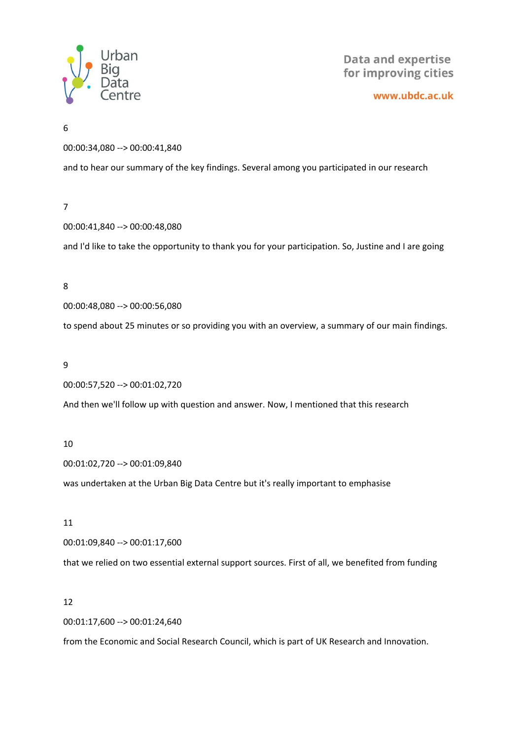

www.ubdc.ac.uk

6

00:00:34,080 --> 00:00:41,840

and to hear our summary of the key findings. Several among you participated in our research

# 7

00:00:41,840 --> 00:00:48,080

and I'd like to take the opportunity to thank you for your participation. So, Justine and I are going

#### 8

00:00:48,080 --> 00:00:56,080

to spend about 25 minutes or so providing you with an overview, a summary of our main findings.

#### 9

00:00:57,520 --> 00:01:02,720

And then we'll follow up with question and answer. Now, I mentioned that this research

#### 10

00:01:02,720 --> 00:01:09,840

was undertaken at the Urban Big Data Centre but it's really important to emphasise

## 11

00:01:09,840 --> 00:01:17,600

that we relied on two essential external support sources. First of all, we benefited from funding

# 12

00:01:17,600 --> 00:01:24,640

from the Economic and Social Research Council, which is part of UK Research and Innovation.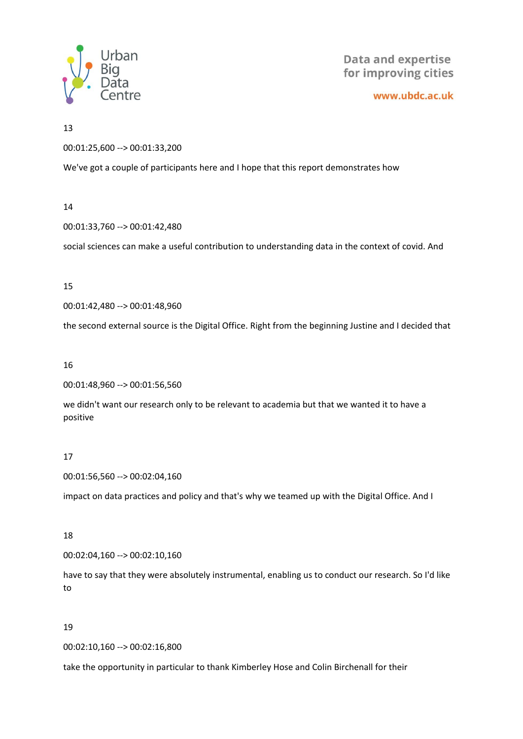

www.ubdc.ac.uk

13

00:01:25,600 --> 00:01:33,200

We've got a couple of participants here and I hope that this report demonstrates how

#### 14

00:01:33,760 --> 00:01:42,480

social sciences can make a useful contribution to understanding data in the context of covid. And

#### 15

00:01:42,480 --> 00:01:48,960

the second external source is the Digital Office. Right from the beginning Justine and I decided that

#### 16

00:01:48,960 --> 00:01:56,560

we didn't want our research only to be relevant to academia but that we wanted it to have a positive

# 17

00:01:56,560 --> 00:02:04,160

impact on data practices and policy and that's why we teamed up with the Digital Office. And I

# 18

00:02:04,160 --> 00:02:10,160

have to say that they were absolutely instrumental, enabling us to conduct our research. So I'd like to

# 19

00:02:10,160 --> 00:02:16,800

take the opportunity in particular to thank Kimberley Hose and Colin Birchenall for their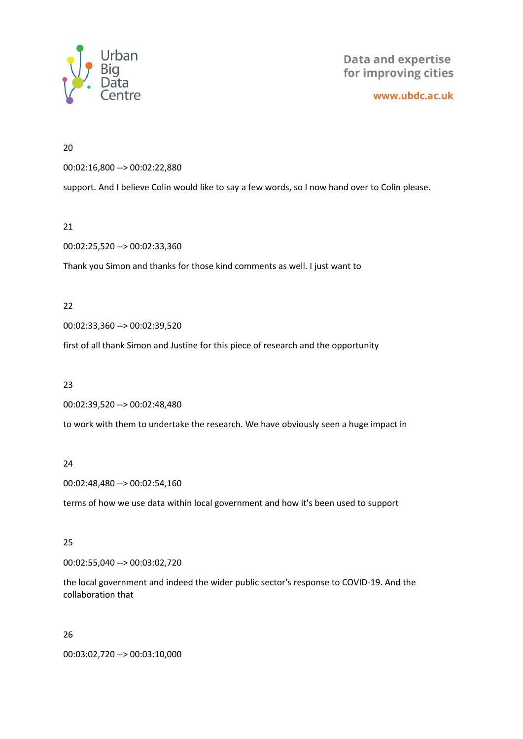

www.ubdc.ac.uk

20

00:02:16,800 --> 00:02:22,880

support. And I believe Colin would like to say a few words, so I now hand over to Colin please.

21

00:02:25,520 --> 00:02:33,360

Thank you Simon and thanks for those kind comments as well. I just want to

22

00:02:33,360 --> 00:02:39,520

first of all thank Simon and Justine for this piece of research and the opportunity

23

00:02:39,520 --> 00:02:48,480

to work with them to undertake the research. We have obviously seen a huge impact in

24

00:02:48,480 --> 00:02:54,160

terms of how we use data within local government and how it's been used to support

25

00:02:55,040 --> 00:03:02,720

the local government and indeed the wider public sector's response to COVID-19. And the collaboration that

26

00:03:02,720 --> 00:03:10,000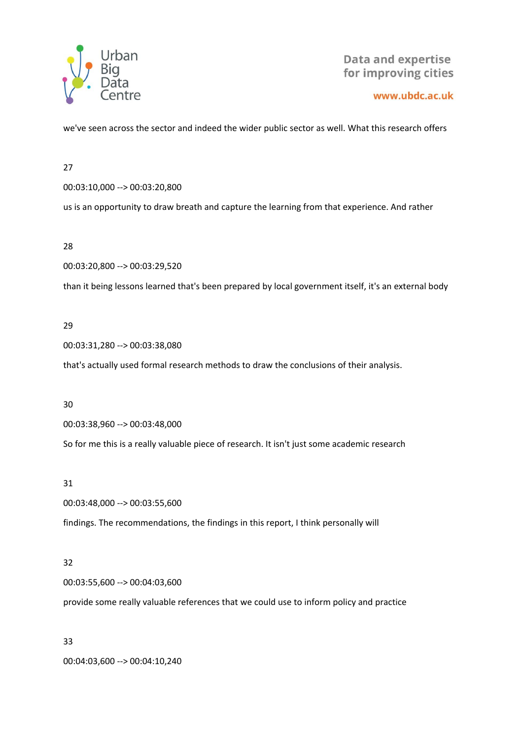

#### www.ubdc.ac.uk

we've seen across the sector and indeed the wider public sector as well. What this research offers

27

00:03:10,000 --> 00:03:20,800

us is an opportunity to draw breath and capture the learning from that experience. And rather

28

00:03:20,800 --> 00:03:29,520

than it being lessons learned that's been prepared by local government itself, it's an external body

#### 29

00:03:31,280 --> 00:03:38,080

that's actually used formal research methods to draw the conclusions of their analysis.

30

00:03:38,960 --> 00:03:48,000

So for me this is a really valuable piece of research. It isn't just some academic research

#### 31

00:03:48,000 --> 00:03:55,600

findings. The recommendations, the findings in this report, I think personally will

# 32

00:03:55,600 --> 00:04:03,600

provide some really valuable references that we could use to inform policy and practice

33

00:04:03,600 --> 00:04:10,240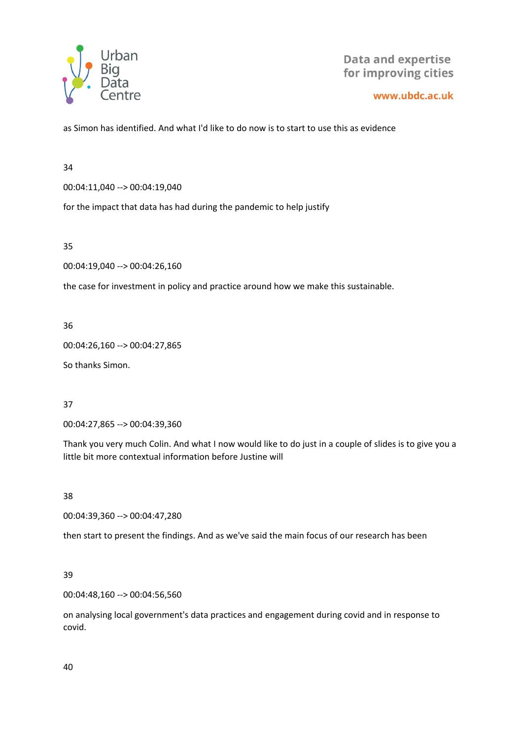

www.ubdc.ac.uk

as Simon has identified. And what I'd like to do now is to start to use this as evidence

34

00:04:11,040 --> 00:04:19,040

for the impact that data has had during the pandemic to help justify

35

00:04:19,040 --> 00:04:26,160

the case for investment in policy and practice around how we make this sustainable.

36

00:04:26,160 --> 00:04:27,865

So thanks Simon.

37

00:04:27,865 --> 00:04:39,360

Thank you very much Colin. And what I now would like to do just in a couple of slides is to give you a little bit more contextual information before Justine will

38

00:04:39,360 --> 00:04:47,280

then start to present the findings. And as we've said the main focus of our research has been

39

00:04:48,160 --> 00:04:56,560

on analysing local government's data practices and engagement during covid and in response to covid.

40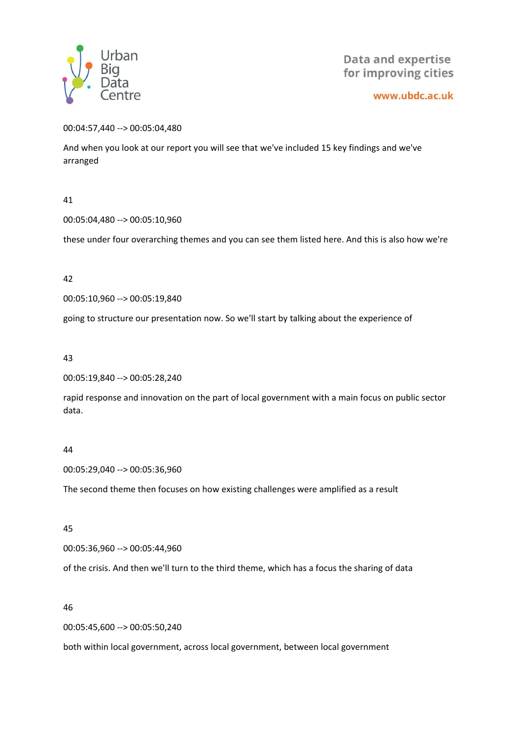

www.ubdc.ac.uk

00:04:57,440 --> 00:05:04,480

And when you look at our report you will see that we've included 15 key findings and we've arranged

41

00:05:04,480 --> 00:05:10,960

these under four overarching themes and you can see them listed here. And this is also how we're

42

00:05:10,960 --> 00:05:19,840

going to structure our presentation now. So we'll start by talking about the experience of

43

00:05:19,840 --> 00:05:28,240

rapid response and innovation on the part of local government with a main focus on public sector data.

# 44

00:05:29,040 --> 00:05:36,960

The second theme then focuses on how existing challenges were amplified as a result

45

00:05:36,960 --> 00:05:44,960

of the crisis. And then we'll turn to the third theme, which has a focus the sharing of data

46

00:05:45,600 --> 00:05:50,240

both within local government, across local government, between local government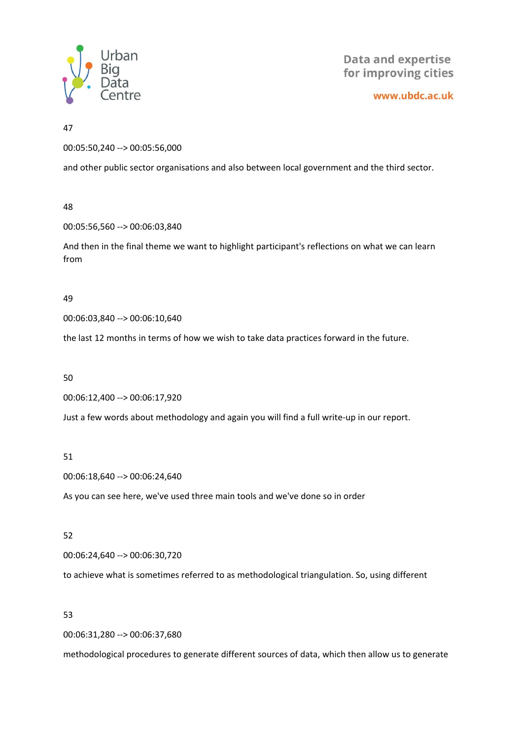

www.ubdc.ac.uk

#### 47

00:05:50,240 --> 00:05:56,000

and other public sector organisations and also between local government and the third sector.

#### 48

00:05:56,560 --> 00:06:03,840

And then in the final theme we want to highlight participant's reflections on what we can learn from

#### 49

00:06:03,840 --> 00:06:10,640

the last 12 months in terms of how we wish to take data practices forward in the future.

# 50

00:06:12,400 --> 00:06:17,920

Just a few words about methodology and again you will find a full write-up in our report.

# 51

00:06:18,640 --> 00:06:24,640

As you can see here, we've used three main tools and we've done so in order

# 52

00:06:24,640 --> 00:06:30,720

to achieve what is sometimes referred to as methodological triangulation. So, using different

# 53

00:06:31,280 --> 00:06:37,680

methodological procedures to generate different sources of data, which then allow us to generate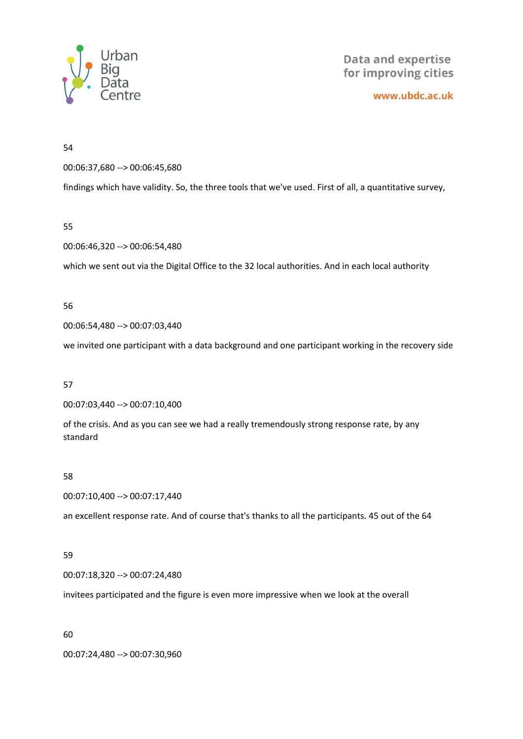

www.ubdc.ac.uk

54

00:06:37,680 --> 00:06:45,680

findings which have validity. So, the three tools that we've used. First of all, a quantitative survey,

55

00:06:46,320 --> 00:06:54,480

which we sent out via the Digital Office to the 32 local authorities. And in each local authority

56

00:06:54,480 --> 00:07:03,440

we invited one participant with a data background and one participant working in the recovery side

57

00:07:03,440 --> 00:07:10,400

of the crisis. And as you can see we had a really tremendously strong response rate, by any standard

58

00:07:10,400 --> 00:07:17,440

an excellent response rate. And of course that's thanks to all the participants. 45 out of the 64

59

00:07:18,320 --> 00:07:24,480

invitees participated and the figure is even more impressive when we look at the overall

60

00:07:24,480 --> 00:07:30,960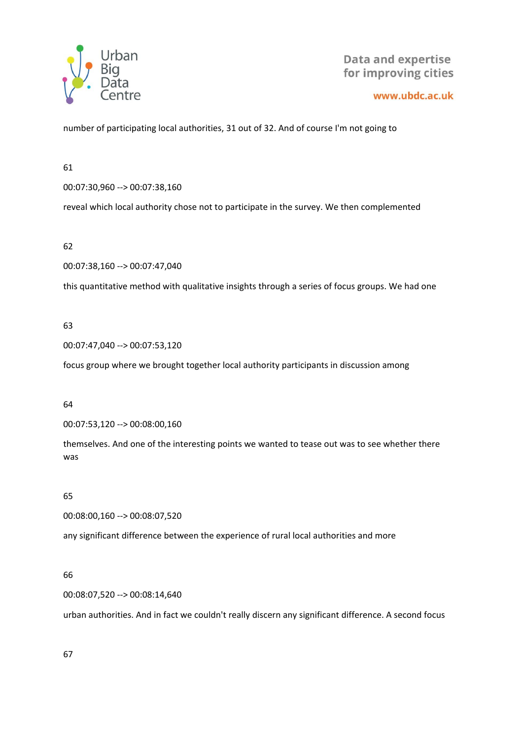

#### www.ubdc.ac.uk

number of participating local authorities, 31 out of 32. And of course I'm not going to

61

00:07:30,960 --> 00:07:38,160

reveal which local authority chose not to participate in the survey. We then complemented

62

00:07:38,160 --> 00:07:47,040

this quantitative method with qualitative insights through a series of focus groups. We had one

# 63

00:07:47,040 --> 00:07:53,120

focus group where we brought together local authority participants in discussion among

# 64

00:07:53,120 --> 00:08:00,160

themselves. And one of the interesting points we wanted to tease out was to see whether there was

65

00:08:00,160 --> 00:08:07,520

any significant difference between the experience of rural local authorities and more

# 66

00:08:07,520 --> 00:08:14,640

urban authorities. And in fact we couldn't really discern any significant difference. A second focus

67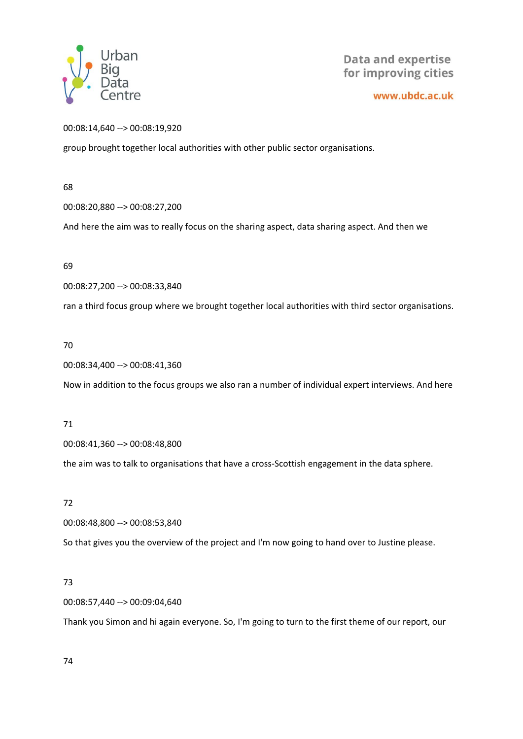

www.ubdc.ac.uk

## 00:08:14,640 --> 00:08:19,920

group brought together local authorities with other public sector organisations.

68

00:08:20,880 --> 00:08:27,200

And here the aim was to really focus on the sharing aspect, data sharing aspect. And then we

69

00:08:27,200 --> 00:08:33,840

ran a third focus group where we brought together local authorities with third sector organisations.

70

00:08:34,400 --> 00:08:41,360

Now in addition to the focus groups we also ran a number of individual expert interviews. And here

# 71

00:08:41,360 --> 00:08:48,800

the aim was to talk to organisations that have a cross-Scottish engagement in the data sphere.

# 72

00:08:48,800 --> 00:08:53,840

So that gives you the overview of the project and I'm now going to hand over to Justine please.

# 73

00:08:57,440 --> 00:09:04,640

Thank you Simon and hi again everyone. So, I'm going to turn to the first theme of our report, our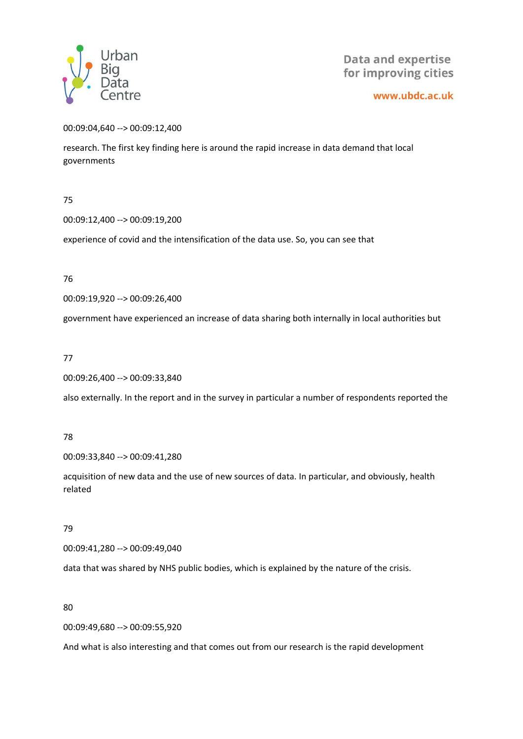

www.ubdc.ac.uk

00:09:04,640 --> 00:09:12,400

research. The first key finding here is around the rapid increase in data demand that local governments

75

00:09:12,400 --> 00:09:19,200

experience of covid and the intensification of the data use. So, you can see that

76

00:09:19,920 --> 00:09:26,400

government have experienced an increase of data sharing both internally in local authorities but

77

00:09:26,400 --> 00:09:33,840

also externally. In the report and in the survey in particular a number of respondents reported the

78

00:09:33,840 --> 00:09:41,280

acquisition of new data and the use of new sources of data. In particular, and obviously, health related

79

00:09:41,280 --> 00:09:49,040

data that was shared by NHS public bodies, which is explained by the nature of the crisis.

80

00:09:49,680 --> 00:09:55,920

And what is also interesting and that comes out from our research is the rapid development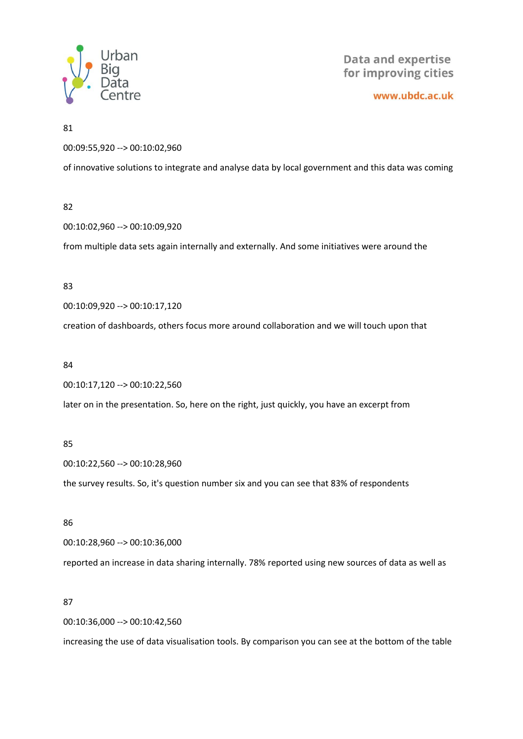

www.ubdc.ac.uk

#### 81

00:09:55,920 --> 00:10:02,960

of innovative solutions to integrate and analyse data by local government and this data was coming

#### 82

00:10:02,960 --> 00:10:09,920

from multiple data sets again internally and externally. And some initiatives were around the

#### 83

00:10:09,920 --> 00:10:17,120

creation of dashboards, others focus more around collaboration and we will touch upon that

#### 84

00:10:17,120 --> 00:10:22,560

later on in the presentation. So, here on the right, just quickly, you have an excerpt from

# 85

00:10:22,560 --> 00:10:28,960

the survey results. So, it's question number six and you can see that 83% of respondents

#### 86

00:10:28,960 --> 00:10:36,000

reported an increase in data sharing internally. 78% reported using new sources of data as well as

# 87

00:10:36,000 --> 00:10:42,560

increasing the use of data visualisation tools. By comparison you can see at the bottom of the table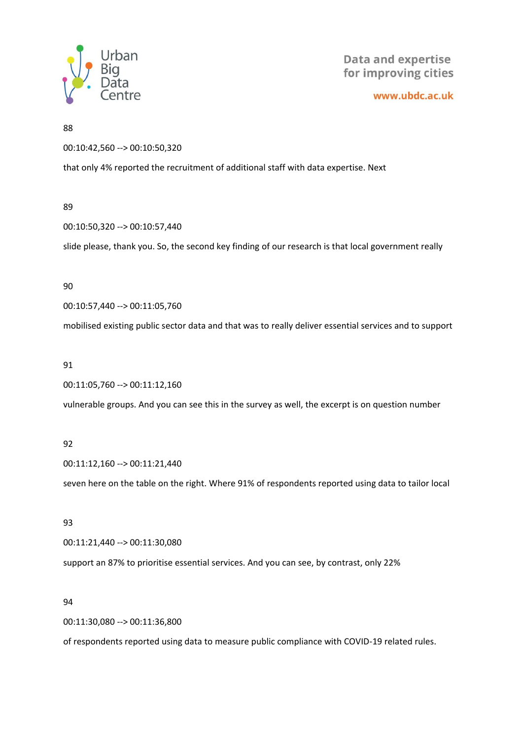

www.ubdc.ac.uk

88

00:10:42,560 --> 00:10:50,320

that only 4% reported the recruitment of additional staff with data expertise. Next

# 89

00:10:50,320 --> 00:10:57,440

slide please, thank you. So, the second key finding of our research is that local government really

# 90

00:10:57,440 --> 00:11:05,760

mobilised existing public sector data and that was to really deliver essential services and to support

# 91

00:11:05,760 --> 00:11:12,160

vulnerable groups. And you can see this in the survey as well, the excerpt is on question number

# 92

00:11:12,160 --> 00:11:21,440

seven here on the table on the right. Where 91% of respondents reported using data to tailor local

# 93

00:11:21,440 --> 00:11:30,080

support an 87% to prioritise essential services. And you can see, by contrast, only 22%

# 94

00:11:30,080 --> 00:11:36,800

of respondents reported using data to measure public compliance with COVID-19 related rules.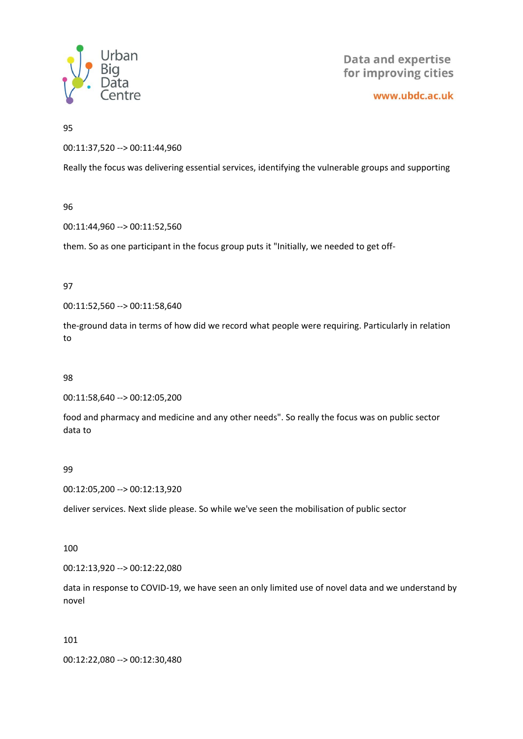

www.ubdc.ac.uk

95

00:11:37,520 --> 00:11:44,960

Really the focus was delivering essential services, identifying the vulnerable groups and supporting

96

00:11:44,960 --> 00:11:52,560

them. So as one participant in the focus group puts it "Initially, we needed to get off-

97

00:11:52,560 --> 00:11:58,640

the-ground data in terms of how did we record what people were requiring. Particularly in relation to

98

00:11:58,640 --> 00:12:05,200

food and pharmacy and medicine and any other needs". So really the focus was on public sector data to

99

00:12:05,200 --> 00:12:13,920

deliver services. Next slide please. So while we've seen the mobilisation of public sector

#### 100

00:12:13,920 --> 00:12:22,080

data in response to COVID-19, we have seen an only limited use of novel data and we understand by novel

101

00:12:22,080 --> 00:12:30,480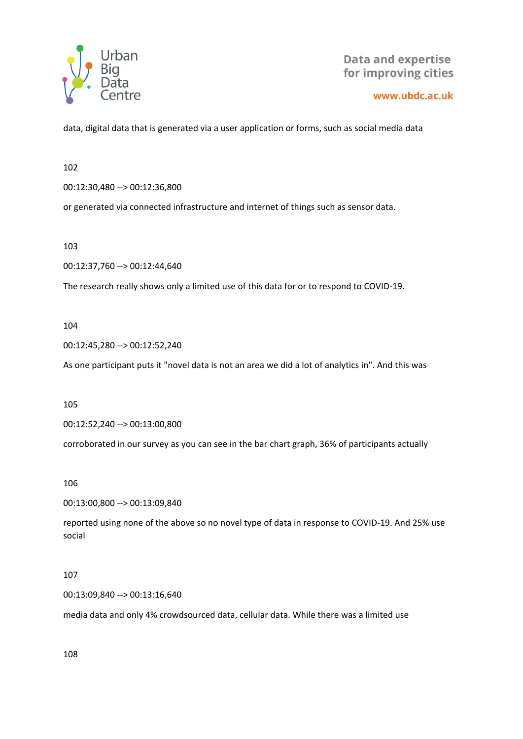

www.ubdc.ac.uk

data, digital data that is generated via a user application or forms, such as social media data

102

00:12:30,480 --> 00:12:36,800

or generated via connected infrastructure and internet of things such as sensor data.

103

00:12:37,760 --> 00:12:44,640

The research really shows only a limited use of this data for or to respond to COVID-19.

104

00:12:45,280 --> 00:12:52,240

As one participant puts it "novel data is not an area we did a lot of analytics in". And this was

105

00:12:52,240 --> 00:13:00,800

corroborated in our survey as you can see in the bar chart graph, 36% of participants actually

106

00:13:00,800 --> 00:13:09,840

reported using none of the above so no novel type of data in response to COVID-19. And 25% use social

107

00:13:09,840 --> 00:13:16,640

media data and only 4% crowdsourced data, cellular data. While there was a limited use

108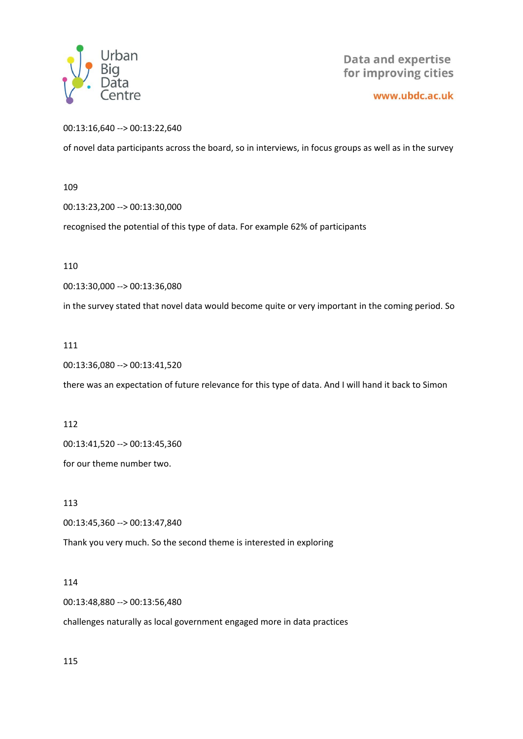

www.ubdc.ac.uk

00:13:16,640 --> 00:13:22,640

of novel data participants across the board, so in interviews, in focus groups as well as in the survey

109

00:13:23,200 --> 00:13:30,000

recognised the potential of this type of data. For example 62% of participants

110

00:13:30,000 --> 00:13:36,080

in the survey stated that novel data would become quite or very important in the coming period. So

111

00:13:36,080 --> 00:13:41,520

there was an expectation of future relevance for this type of data. And I will hand it back to Simon

112

00:13:41,520 --> 00:13:45,360

for our theme number two.

113

00:13:45,360 --> 00:13:47,840

Thank you very much. So the second theme is interested in exploring

114

00:13:48,880 --> 00:13:56,480

challenges naturally as local government engaged more in data practices

115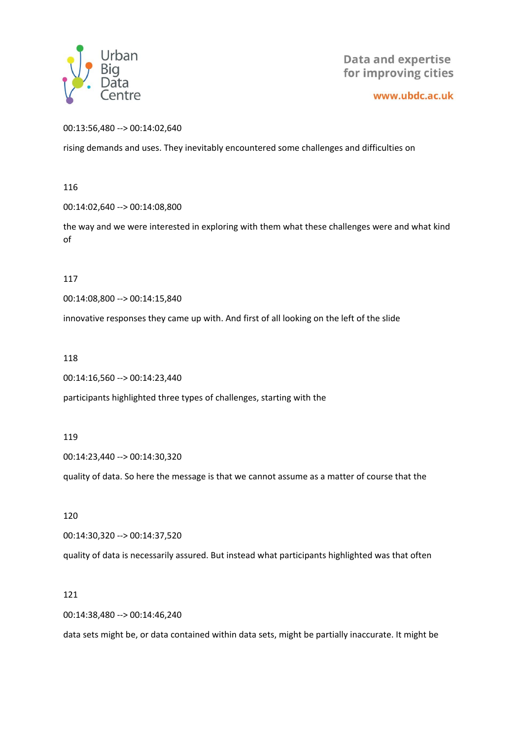

www.ubdc.ac.uk

00:13:56,480 --> 00:14:02,640

rising demands and uses. They inevitably encountered some challenges and difficulties on

116

00:14:02,640 --> 00:14:08,800

the way and we were interested in exploring with them what these challenges were and what kind of

117

00:14:08,800 --> 00:14:15,840

innovative responses they came up with. And first of all looking on the left of the slide

118

```
00:14:16,560 --> 00:14:23,440
```
participants highlighted three types of challenges, starting with the

119

00:14:23,440 --> 00:14:30,320

quality of data. So here the message is that we cannot assume as a matter of course that the

120

00:14:30,320 --> 00:14:37,520

quality of data is necessarily assured. But instead what participants highlighted was that often

121

00:14:38,480 --> 00:14:46,240

data sets might be, or data contained within data sets, might be partially inaccurate. It might be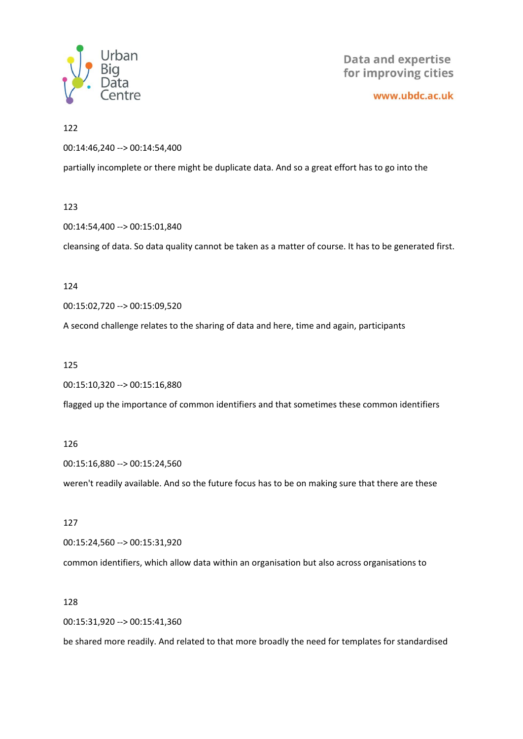

www.ubdc.ac.uk

#### 122

00:14:46,240 --> 00:14:54,400

partially incomplete or there might be duplicate data. And so a great effort has to go into the

#### 123

00:14:54,400 --> 00:15:01,840

cleansing of data. So data quality cannot be taken as a matter of course. It has to be generated first.

#### 124

00:15:02,720 --> 00:15:09,520

A second challenge relates to the sharing of data and here, time and again, participants

#### 125

00:15:10,320 --> 00:15:16,880

flagged up the importance of common identifiers and that sometimes these common identifiers

#### 126

00:15:16,880 --> 00:15:24,560

weren't readily available. And so the future focus has to be on making sure that there are these

#### 127

00:15:24,560 --> 00:15:31,920

common identifiers, which allow data within an organisation but also across organisations to

#### 128

00:15:31,920 --> 00:15:41,360

be shared more readily. And related to that more broadly the need for templates for standardised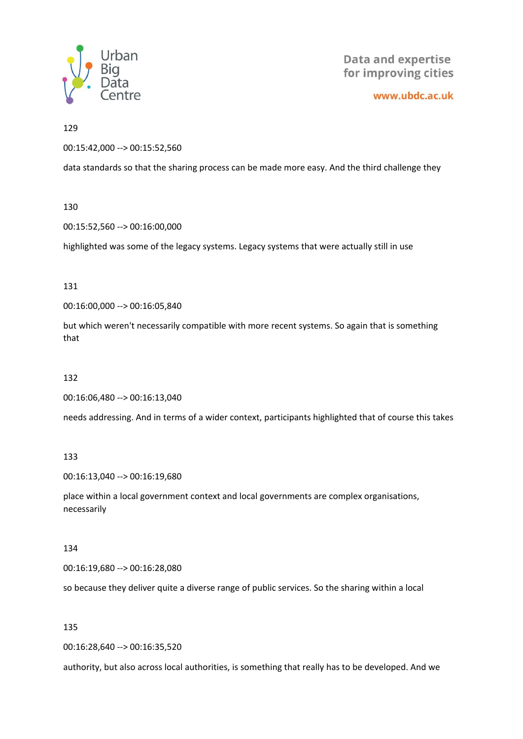

www.ubdc.ac.uk

129

00:15:42,000 --> 00:15:52,560

data standards so that the sharing process can be made more easy. And the third challenge they

#### 130

00:15:52,560 --> 00:16:00,000

highlighted was some of the legacy systems. Legacy systems that were actually still in use

#### 131

00:16:00,000 --> 00:16:05,840

but which weren't necessarily compatible with more recent systems. So again that is something that

# 132

00:16:06,480 --> 00:16:13,040

needs addressing. And in terms of a wider context, participants highlighted that of course this takes

#### 133

00:16:13,040 --> 00:16:19,680

place within a local government context and local governments are complex organisations, necessarily

#### 134

00:16:19,680 --> 00:16:28,080

so because they deliver quite a diverse range of public services. So the sharing within a local

#### 135

00:16:28,640 --> 00:16:35,520

authority, but also across local authorities, is something that really has to be developed. And we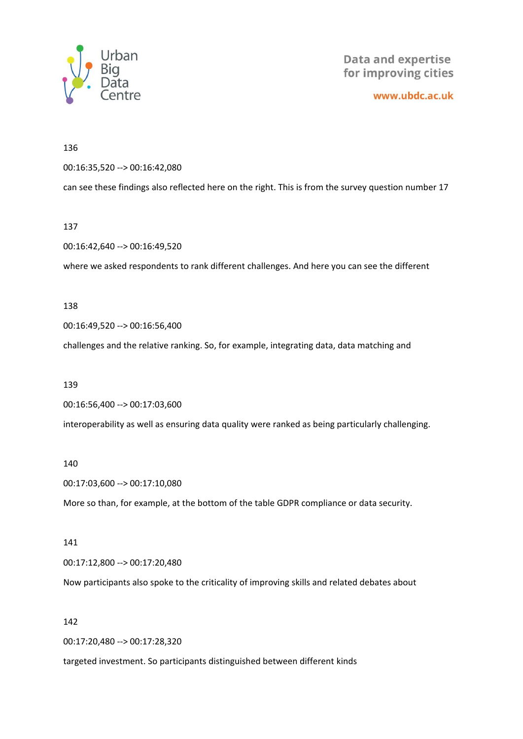

www.ubdc.ac.uk

#### 136

00:16:35,520 --> 00:16:42,080

can see these findings also reflected here on the right. This is from the survey question number 17

#### 137

00:16:42,640 --> 00:16:49,520

where we asked respondents to rank different challenges. And here you can see the different

#### 138

00:16:49,520 --> 00:16:56,400

challenges and the relative ranking. So, for example, integrating data, data matching and

#### 139

00:16:56,400 --> 00:17:03,600

interoperability as well as ensuring data quality were ranked as being particularly challenging.

#### 140

00:17:03,600 --> 00:17:10,080

More so than, for example, at the bottom of the table GDPR compliance or data security.

#### 141

00:17:12,800 --> 00:17:20,480

Now participants also spoke to the criticality of improving skills and related debates about

#### 142

00:17:20,480 --> 00:17:28,320

targeted investment. So participants distinguished between different kinds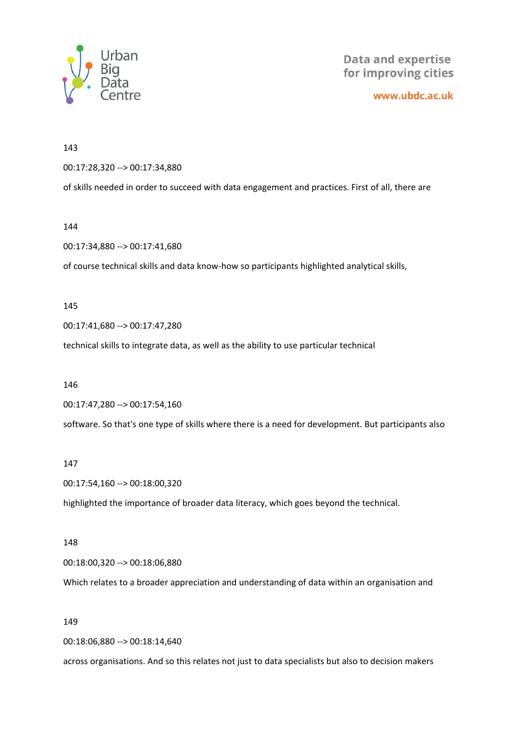

www.ubdc.ac.uk

143

00:17:28,320 --> 00:17:34,880

of skills needed in order to succeed with data engagement and practices. First of all, there are

144

00:17:34,880 --> 00:17:41,680

of course technical skills and data know-how so participants highlighted analytical skills,

145

00:17:41,680 --> 00:17:47,280

technical skills to integrate data, as well as the ability to use particular technical

146

00:17:47,280 --> 00:17:54,160

software. So that's one type of skills where there is a need for development. But participants also

#### 147

00:17:54,160 --> 00:18:00,320

highlighted the importance of broader data literacy, which goes beyond the technical.

#### 148

00:18:00,320 --> 00:18:06,880

Which relates to a broader appreciation and understanding of data within an organisation and

149

00:18:06,880 --> 00:18:14,640

across organisations. And so this relates not just to data specialists but also to decision makers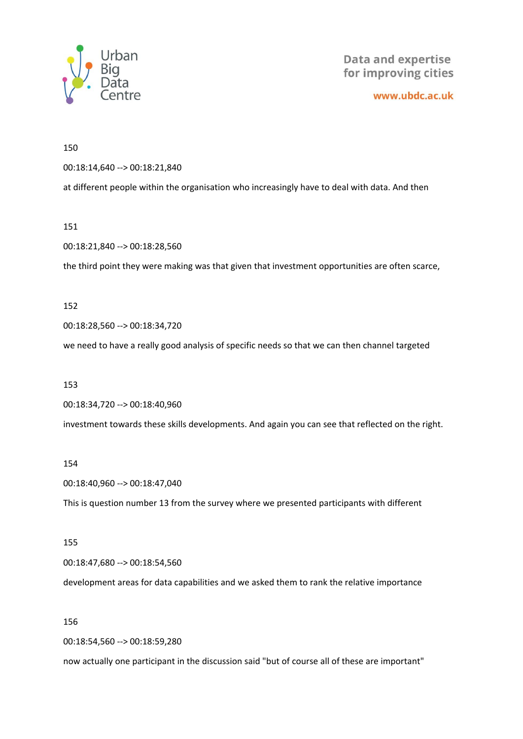

www.ubdc.ac.uk

150

00:18:14,640 --> 00:18:21,840

at different people within the organisation who increasingly have to deal with data. And then

151

00:18:21,840 --> 00:18:28,560

the third point they were making was that given that investment opportunities are often scarce,

152

00:18:28,560 --> 00:18:34,720

we need to have a really good analysis of specific needs so that we can then channel targeted

153

00:18:34,720 --> 00:18:40,960

investment towards these skills developments. And again you can see that reflected on the right.

154

00:18:40,960 --> 00:18:47,040

This is question number 13 from the survey where we presented participants with different

155

00:18:47,680 --> 00:18:54,560

development areas for data capabilities and we asked them to rank the relative importance

156

00:18:54,560 --> 00:18:59,280

now actually one participant in the discussion said "but of course all of these are important"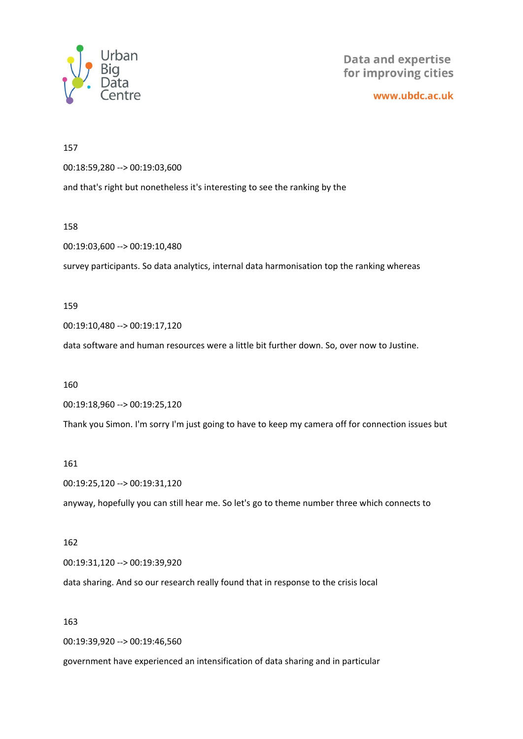

www.ubdc.ac.uk

157 00:18:59,280 --> 00:19:03,600 and that's right but nonetheless it's interesting to see the ranking by the

158

00:19:03,600 --> 00:19:10,480

survey participants. So data analytics, internal data harmonisation top the ranking whereas

159

00:19:10,480 --> 00:19:17,120

data software and human resources were a little bit further down. So, over now to Justine.

160

00:19:18,960 --> 00:19:25,120

Thank you Simon. I'm sorry I'm just going to have to keep my camera off for connection issues but

161

00:19:25,120 --> 00:19:31,120 anyway, hopefully you can still hear me. So let's go to theme number three which connects to

#### 162

00:19:31,120 --> 00:19:39,920

data sharing. And so our research really found that in response to the crisis local

163

00:19:39,920 --> 00:19:46,560

government have experienced an intensification of data sharing and in particular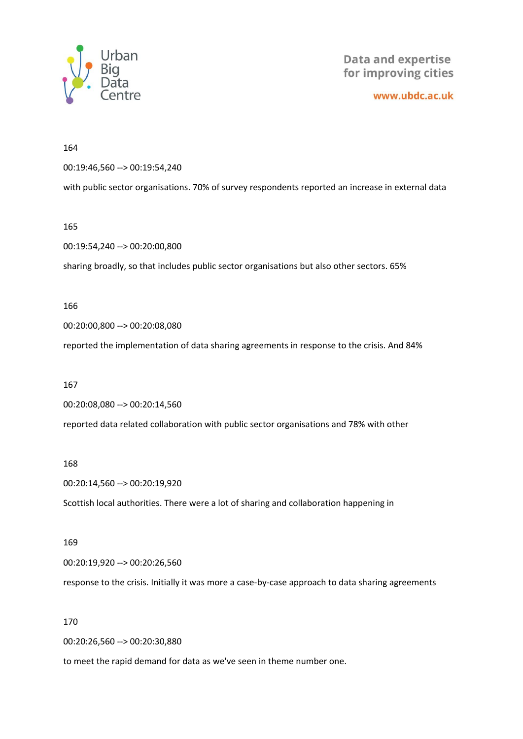

www.ubdc.ac.uk

164

00:19:46,560 --> 00:19:54,240

with public sector organisations. 70% of survey respondents reported an increase in external data

165

00:19:54,240 --> 00:20:00,800

sharing broadly, so that includes public sector organisations but also other sectors. 65%

166

00:20:00,800 --> 00:20:08,080

reported the implementation of data sharing agreements in response to the crisis. And 84%

167

00:20:08,080 --> 00:20:14,560

reported data related collaboration with public sector organisations and 78% with other

168

00:20:14,560 --> 00:20:19,920

Scottish local authorities. There were a lot of sharing and collaboration happening in

169

00:20:19,920 --> 00:20:26,560

response to the crisis. Initially it was more a case-by-case approach to data sharing agreements

170

00:20:26,560 --> 00:20:30,880

to meet the rapid demand for data as we've seen in theme number one.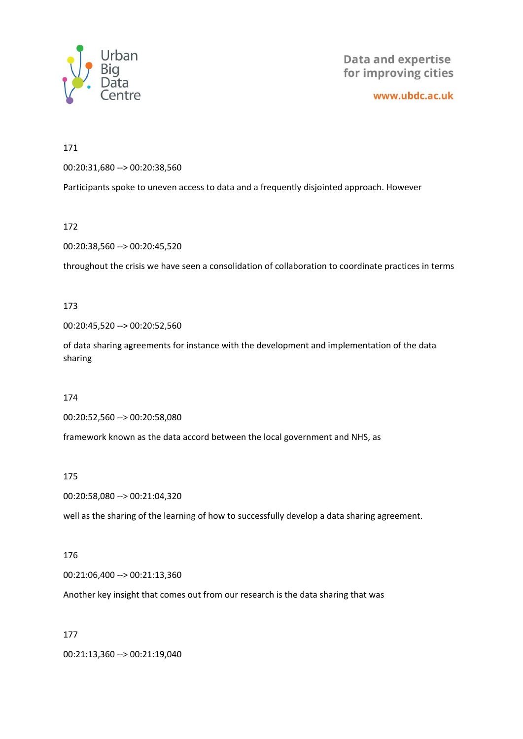

www.ubdc.ac.uk

171

00:20:31,680 --> 00:20:38,560

Participants spoke to uneven access to data and a frequently disjointed approach. However

172

00:20:38,560 --> 00:20:45,520

throughout the crisis we have seen a consolidation of collaboration to coordinate practices in terms

173

00:20:45,520 --> 00:20:52,560

of data sharing agreements for instance with the development and implementation of the data sharing

174

00:20:52,560 --> 00:20:58,080

framework known as the data accord between the local government and NHS, as

175

00:20:58,080 --> 00:21:04,320

well as the sharing of the learning of how to successfully develop a data sharing agreement.

#### 176

00:21:06,400 --> 00:21:13,360

Another key insight that comes out from our research is the data sharing that was

177

00:21:13,360 --> 00:21:19,040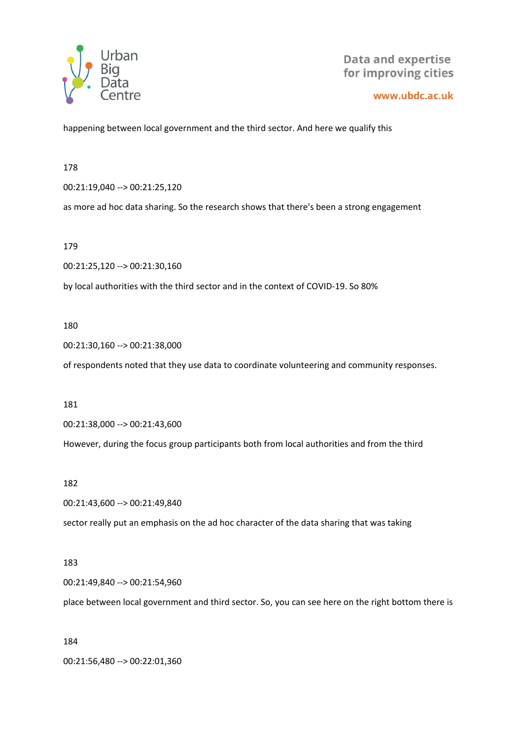

www.ubdc.ac.uk

happening between local government and the third sector. And here we qualify this

178

00:21:19,040 --> 00:21:25,120

as more ad hoc data sharing. So the research shows that there's been a strong engagement

179

00:21:25,120 --> 00:21:30,160

by local authorities with the third sector and in the context of COVID-19. So 80%

180

00:21:30,160 --> 00:21:38,000

of respondents noted that they use data to coordinate volunteering and community responses.

181

00:21:38,000 --> 00:21:43,600

However, during the focus group participants both from local authorities and from the third

182

00:21:43,600 --> 00:21:49,840

sector really put an emphasis on the ad hoc character of the data sharing that was taking

183

00:21:49,840 --> 00:21:54,960

place between local government and third sector. So, you can see here on the right bottom there is

184

00:21:56,480 --> 00:22:01,360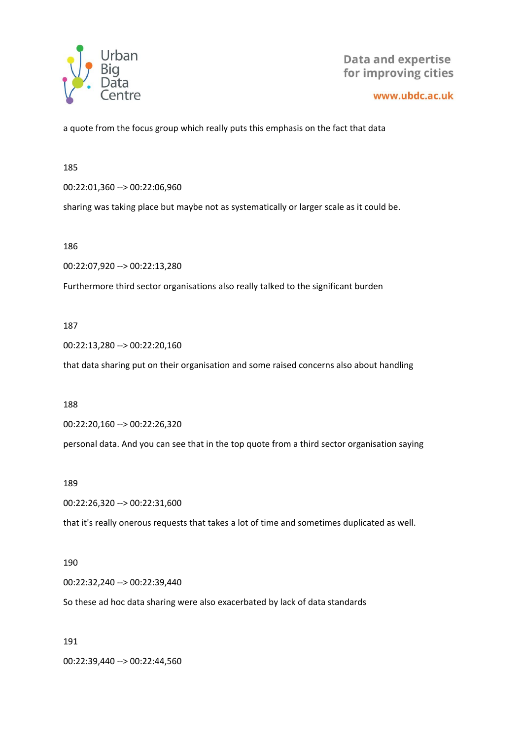

www.ubdc.ac.uk

a quote from the focus group which really puts this emphasis on the fact that data

185

00:22:01,360 --> 00:22:06,960

sharing was taking place but maybe not as systematically or larger scale as it could be.

186

00:22:07,920 --> 00:22:13,280

Furthermore third sector organisations also really talked to the significant burden

#### 187

00:22:13,280 --> 00:22:20,160

that data sharing put on their organisation and some raised concerns also about handling

188

00:22:20,160 --> 00:22:26,320

personal data. And you can see that in the top quote from a third sector organisation saying

#### 189

00:22:26,320 --> 00:22:31,600

that it's really onerous requests that takes a lot of time and sometimes duplicated as well.

#### 190

00:22:32,240 --> 00:22:39,440

So these ad hoc data sharing were also exacerbated by lack of data standards

191

00:22:39,440 --> 00:22:44,560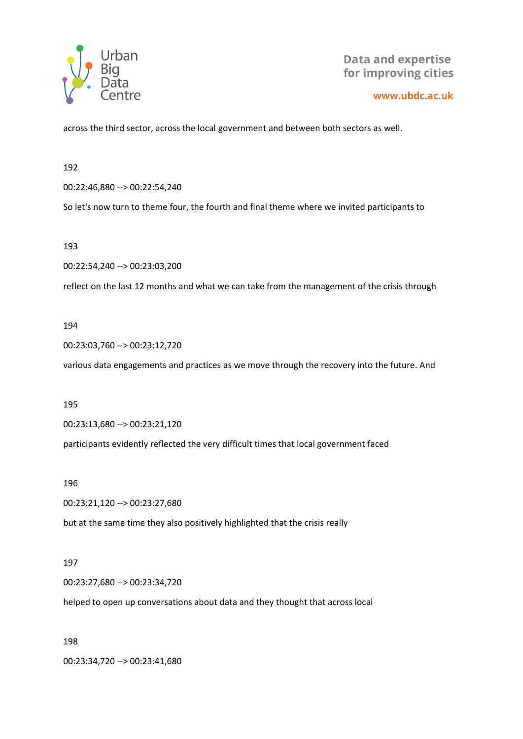

#### www.ubdc.ac.uk

across the third sector, across the local government and between both sectors as well.

192

00:22:46,880 --> 00:22:54,240

So let's now turn to theme four, the fourth and final theme where we invited participants to

193

00:22:54,240 --> 00:23:03,200

reflect on the last 12 months and what we can take from the management of the crisis through

#### 194

00:23:03,760 --> 00:23:12,720

various data engagements and practices as we move through the recovery into the future. And

195

00:23:13,680 --> 00:23:21,120

participants evidently reflected the very difficult times that local government faced

196

00:23:21,120 --> 00:23:27,680

but at the same time they also positively highlighted that the crisis really

#### 197

00:23:27,680 --> 00:23:34,720

helped to open up conversations about data and they thought that across local

198

00:23:34,720 --> 00:23:41,680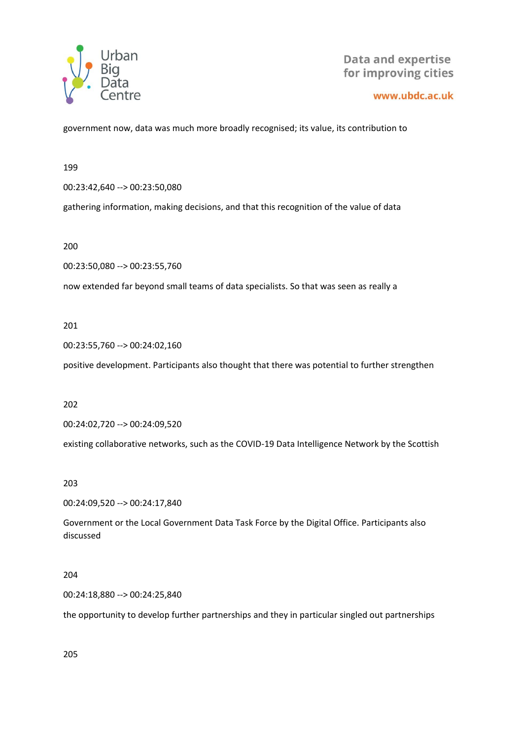

www.ubdc.ac.uk

government now, data was much more broadly recognised; its value, its contribution to

199

00:23:42,640 --> 00:23:50,080

gathering information, making decisions, and that this recognition of the value of data

200

00:23:50,080 --> 00:23:55,760

now extended far beyond small teams of data specialists. So that was seen as really a

201

00:23:55,760 --> 00:24:02,160

positive development. Participants also thought that there was potential to further strengthen

202

00:24:02,720 --> 00:24:09,520

existing collaborative networks, such as the COVID-19 Data Intelligence Network by the Scottish

203

00:24:09,520 --> 00:24:17,840

Government or the Local Government Data Task Force by the Digital Office. Participants also discussed

204

00:24:18,880 --> 00:24:25,840

the opportunity to develop further partnerships and they in particular singled out partnerships

205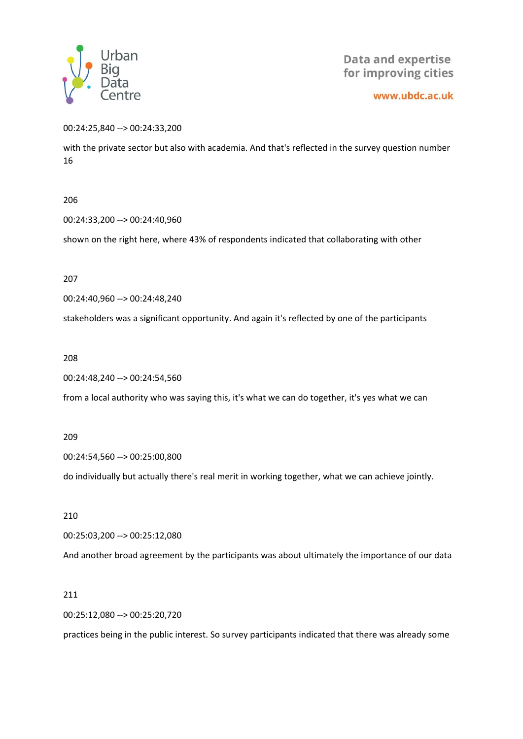

www.ubdc.ac.uk

00:24:25,840 --> 00:24:33,200

with the private sector but also with academia. And that's reflected in the survey question number 16

206

00:24:33,200 --> 00:24:40,960

shown on the right here, where 43% of respondents indicated that collaborating with other

207

00:24:40,960 --> 00:24:48,240

stakeholders was a significant opportunity. And again it's reflected by one of the participants

208

00:24:48,240 --> 00:24:54,560

from a local authority who was saying this, it's what we can do together, it's yes what we can

209

00:24:54,560 --> 00:25:00,800

do individually but actually there's real merit in working together, what we can achieve jointly.

210

00:25:03,200 --> 00:25:12,080

And another broad agreement by the participants was about ultimately the importance of our data

211

00:25:12,080 --> 00:25:20,720

practices being in the public interest. So survey participants indicated that there was already some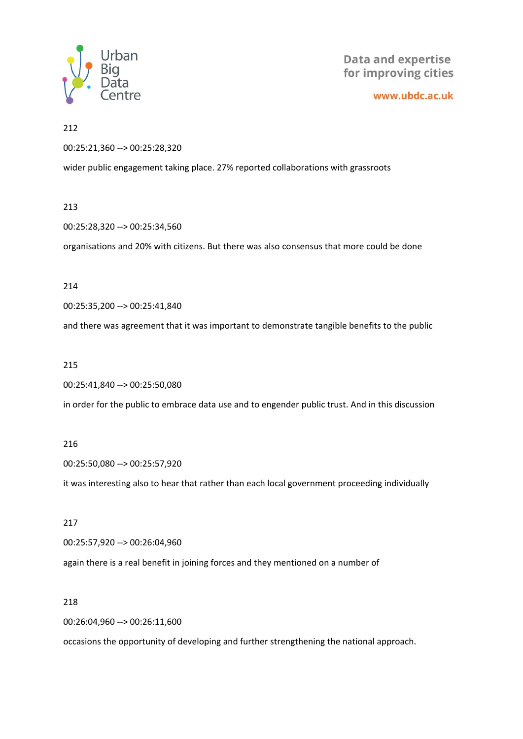

www.ubdc.ac.uk

212

00:25:21,360 --> 00:25:28,320

wider public engagement taking place. 27% reported collaborations with grassroots

#### 213

00:25:28,320 --> 00:25:34,560

organisations and 20% with citizens. But there was also consensus that more could be done

#### 214

00:25:35,200 --> 00:25:41,840

and there was agreement that it was important to demonstrate tangible benefits to the public

#### 215

00:25:41,840 --> 00:25:50,080

in order for the public to embrace data use and to engender public trust. And in this discussion

#### 216

00:25:50,080 --> 00:25:57,920

it was interesting also to hear that rather than each local government proceeding individually

#### 217

00:25:57,920 --> 00:26:04,960

again there is a real benefit in joining forces and they mentioned on a number of

#### 218

00:26:04,960 --> 00:26:11,600

occasions the opportunity of developing and further strengthening the national approach.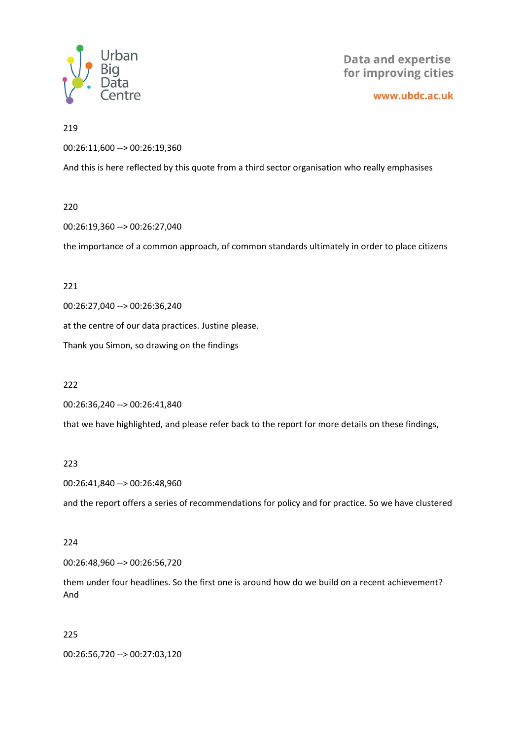

www.ubdc.ac.uk

## 219

00:26:11,600 --> 00:26:19,360

And this is here reflected by this quote from a third sector organisation who really emphasises

# 220

00:26:19,360 --> 00:26:27,040

the importance of a common approach, of common standards ultimately in order to place citizens

# 221

00:26:27,040 --> 00:26:36,240

at the centre of our data practices. Justine please.

Thank you Simon, so drawing on the findings

# 222

00:26:36,240 --> 00:26:41,840

that we have highlighted, and please refer back to the report for more details on these findings,

# 223

00:26:41,840 --> 00:26:48,960

and the report offers a series of recommendations for policy and for practice. So we have clustered

# 224

00:26:48,960 --> 00:26:56,720

them under four headlines. So the first one is around how do we build on a recent achievement? And

# 225

00:26:56,720 --> 00:27:03,120